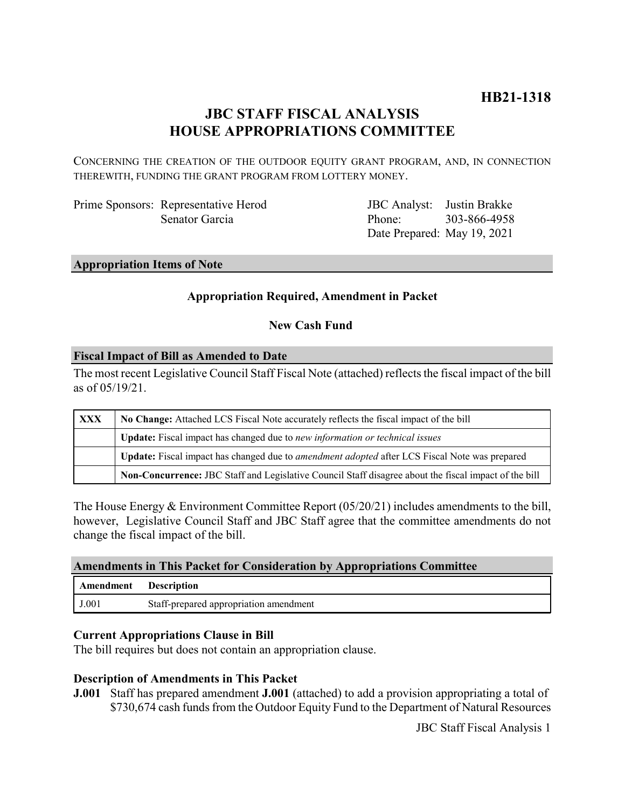## **JBC STAFF FISCAL ANALYSIS HOUSE APPROPRIATIONS COMMITTEE**

CONCERNING THE CREATION OF THE OUTDOOR EQUITY GRANT PROGRAM, AND, IN CONNECTION THEREWITH, FUNDING THE GRANT PROGRAM FROM LOTTERY MONEY.

Prime Sponsors: Representative Herod Senator Garcia

JBC Analyst: Justin Brakke Phone: Date Prepared: May 19, 2021 303-866-4958

### **Appropriation Items of Note**

### **Appropriation Required, Amendment in Packet**

**New Cash Fund** 

#### **Fiscal Impact of Bill as Amended to Date**

The most recent Legislative Council Staff Fiscal Note (attached) reflects the fiscal impact of the bill as of 05/19/21.

| <b>XXX</b> | No Change: Attached LCS Fiscal Note accurately reflects the fiscal impact of the bill                       |  |  |
|------------|-------------------------------------------------------------------------------------------------------------|--|--|
|            | <b>Update:</b> Fiscal impact has changed due to new information or technical issues                         |  |  |
|            | <b>Update:</b> Fiscal impact has changed due to <i>amendment adopted</i> after LCS Fiscal Note was prepared |  |  |
|            | Non-Concurrence: JBC Staff and Legislative Council Staff disagree about the fiscal impact of the bill       |  |  |

The House Energy & Environment Committee Report (05/20/21) includes amendments to the bill, however, Legislative Council Staff and JBC Staff agree that the committee amendments do not change the fiscal impact of the bill.

|  |  |  | <b>Amendments in This Packet for Consideration by Appropriations Committee</b> |
|--|--|--|--------------------------------------------------------------------------------|
|--|--|--|--------------------------------------------------------------------------------|

| Amendment      | <b>Description</b>                     |
|----------------|----------------------------------------|
| $_{\rm J.001}$ | Staff-prepared appropriation amendment |

#### **Current Appropriations Clause in Bill**

The bill requires but does not contain an appropriation clause.

### **Description of Amendments in This Packet**

**J.001** Staff has prepared amendment **J.001** (attached) to add a provision appropriating a total of \$730,674 cash funds from the Outdoor Equity Fund to the Department of Natural Resources

JBC Staff Fiscal Analysis 1